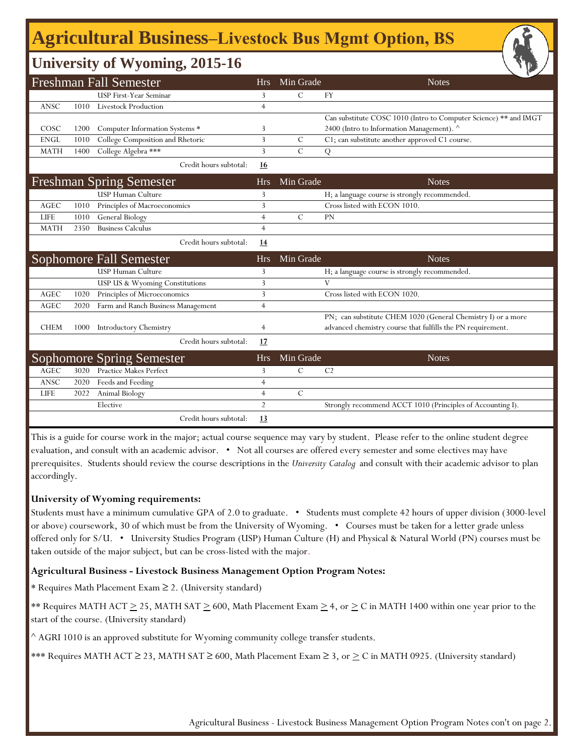# **Agricultural Business‒Livestock Bus Mgmt Option, BS**

### **University of Wyoming, 2015-16**

| <b>Freshman Fall Semester</b> |      |                                    | <b>Hrs</b>     | Min Grade     | <b>Notes</b>                                                     |
|-------------------------------|------|------------------------------------|----------------|---------------|------------------------------------------------------------------|
|                               |      | <b>USP First-Year Seminar</b>      | 3              | $\mathcal{C}$ | <b>FY</b>                                                        |
| <b>ANSC</b>                   | 1010 | <b>Livestock Production</b>        | $\overline{4}$ |               |                                                                  |
|                               |      |                                    |                |               | Can substitute COSC 1010 (Intro to Computer Science) ** and IMGT |
| COSC                          | 1200 | Computer Information Systems *     | 3              |               | 2400 (Intro to Information Management). ^                        |
| <b>ENGL</b>                   | 1010 | College Composition and Rhetoric   | 3              | C             | C1; can substitute another approved C1 course.                   |
| <b>MATH</b>                   | 1400 | College Algebra ***                | 3              | $\mathcal{C}$ | Q                                                                |
|                               |      | Credit hours subtotal:             | 16             |               |                                                                  |
|                               |      | <b>Freshman Spring Semester</b>    | <b>Hrs</b>     | Min Grade     | <b>Notes</b>                                                     |
|                               |      | <b>USP Human Culture</b>           | 3              |               | H; a language course is strongly recommended.                    |
| AGEC                          | 1010 | Principles of Macroeconomics       | 3              |               | Cross listed with ECON 1010.                                     |
| <b>LIFE</b>                   | 1010 | General Biology                    | $\overline{4}$ | $\mathcal{C}$ | <b>PN</b>                                                        |
| <b>MATH</b>                   | 2350 | <b>Business Calculus</b>           | $\overline{4}$ |               |                                                                  |
|                               |      | Credit hours subtotal:             | 14             |               |                                                                  |
|                               |      | Sophomore Fall Semester            | <b>Hrs</b>     | Min Grade     | <b>Notes</b>                                                     |
|                               |      | <b>USP Human Culture</b>           | 3              |               | H; a language course is strongly recommended.                    |
|                               |      | USP US & Wyoming Constitutions     | 3              |               | $\mathbf{V}$                                                     |
| <b>AGEC</b>                   | 1020 | Principles of Microeconomics       | 3              |               | Cross listed with ECON 1020.                                     |
| <b>AGEC</b>                   | 2020 | Farm and Ranch Business Management | $\overline{4}$ |               |                                                                  |
|                               |      |                                    |                |               | PN; can substitute CHEM 1020 (General Chemistry I) or a more     |
| <b>CHEM</b>                   | 1000 | Introductory Chemistry             | 4              |               | advanced chemistry course that fulfills the PN requirement.      |
|                               |      | Credit hours subtotal:             | 17             |               |                                                                  |
|                               |      | <b>Sophomore Spring Semester</b>   | <b>Hrs</b>     | Min Grade     | <b>Notes</b>                                                     |
| AGEC                          | 3020 | <b>Practice Makes Perfect</b>      | 3              | $\mathcal{C}$ | C <sub>2</sub>                                                   |
| ANSC                          | 2020 | Feeds and Feeding                  | $\overline{4}$ |               |                                                                  |
| <b>LIFE</b>                   | 2022 | Animal Biology                     | $\overline{4}$ | $\mathcal{C}$ |                                                                  |
|                               |      | Elective                           | $\overline{2}$ |               | Strongly recommend ACCT 1010 (Principles of Accounting I).       |
|                               |      | Credit hours subtotal:             | <u>13</u>      |               |                                                                  |

This is a guide for course work in the major; actual course sequence may vary by student. Please refer to the online student degree evaluation, and consult with an academic advisor. • Not all courses are offered every semester and some electives may have prerequisites. Students should review the course descriptions in the *University Catalog* and consult with their academic advisor to plan accordingly.

#### **University of Wyoming requirements:**

Students must have a minimum cumulative GPA of 2.0 to graduate. • Students must complete 42 hours of upper division (3000-level or above) coursework, 30 of which must be from the University of Wyoming. • Courses must be taken for a letter grade unless offered only for S/U. • University Studies Program (USP) Human Culture (H) and Physical & Natural World (PN) courses must be taken outside of the major subject, but can be cross-listed with the major.

#### **Agricultural Business - Livestock Business Management Option Program Notes:**

\* Requires Math Placement Exam ≥ 2. (University standard)

\*\* Requires MATH ACT  $\geq$  25, MATH SAT  $\geq$  600, Math Placement Exam  $\geq$  4, or  $\geq$  C in MATH 1400 within one year prior to the start of the course. (University standard)

 $^{\wedge}$  AGRI 1010 is an approved substitute for Wyoming community college transfer students.

\*\*\* Requires MATH ACT ≥ 23, MATH SAT ≥ 600, Math Placement Exam ≥ 3, or  $\geq C$  in MATH 0925. (University standard)